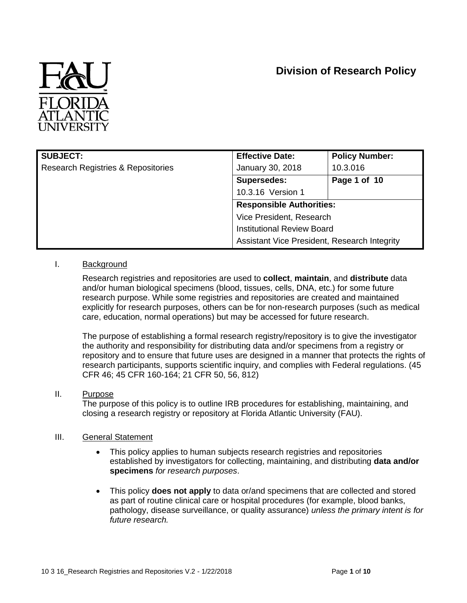# **Division of Research Policy**



| <b>SUBJECT:</b>                               | <b>Effective Date:</b>                       | <b>Policy Number:</b>             |  |
|-----------------------------------------------|----------------------------------------------|-----------------------------------|--|
| <b>Research Registries &amp; Repositories</b> | January 30, 2018                             | 10.3.016                          |  |
|                                               | <b>Supersedes:</b>                           | Page 1 of 10                      |  |
|                                               | 10.3.16 Version 1                            |                                   |  |
|                                               | <b>Responsible Authorities:</b>              |                                   |  |
|                                               | Vice President, Research                     |                                   |  |
|                                               |                                              | <b>Institutional Review Board</b> |  |
|                                               | Assistant Vice President, Research Integrity |                                   |  |

#### I. Background

Research registries and repositories are used to **collect**, **maintain**, and **distribute** data and/or human biological specimens (blood, tissues, cells, DNA, etc.) for some future research purpose. While some registries and repositories are created and maintained explicitly for research purposes, others can be for non-research purposes (such as medical care, education, normal operations) but may be accessed for future research.

The purpose of establishing a formal research registry/repository is to give the investigator the authority and responsibility for distributing data and/or specimens from a registry or repository and to ensure that future uses are designed in a manner that protects the rights of research participants, supports scientific inquiry, and complies with Federal regulations. (45 CFR 46; 45 CFR 160-164; 21 CFR 50, 56, 812)

#### II. Purpose

The purpose of this policy is to outline IRB procedures for establishing, maintaining, and closing a research registry or repository at Florida Atlantic University (FAU).

#### III. General Statement

- This policy applies to human subjects research registries and repositories established by investigators for collecting, maintaining, and distributing **data and/or specimens** *for research purposes*.
- This policy **does not apply** to data or/and specimens that are collected and stored as part of routine clinical care or hospital procedures (for example, blood banks, pathology, disease surveillance, or quality assurance) *unless the primary intent is for future research.*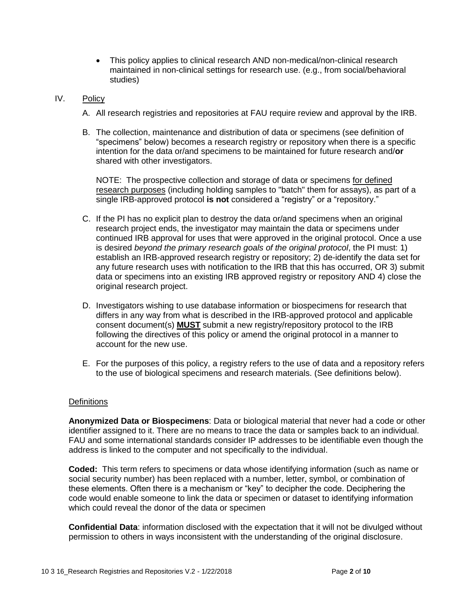This policy applies to clinical research AND non-medical/non-clinical research maintained in non-clinical settings for research use. (e.g., from social/behavioral studies)

#### IV. Policy

- A. All research registries and repositories at FAU require review and approval by the IRB.
- B. The collection, maintenance and distribution of data or specimens (see definition of "specimens" below) becomes a research registry or repository when there is a specific intention for the data or/and specimens to be maintained for future research and/**or** shared with other investigators.

NOTE: The prospective collection and storage of data or specimens for defined research purposes (including holding samples to "batch" them for assays), as part of a single IRB-approved protocol **is not** considered a "registry" or a "repository."

- C. If the PI has no explicit plan to destroy the data or/and specimens when an original research project ends, the investigator may maintain the data or specimens under continued IRB approval for uses that were approved in the original protocol. Once a use is desired *beyond the primary research goals of the original protocol*, the PI must: 1) establish an IRB-approved research registry or repository; 2) de-identify the data set for any future research uses with notification to the IRB that this has occurred, OR 3) submit data or specimens into an existing IRB approved registry or repository AND 4) close the original research project.
- D. Investigators wishing to use database information or biospecimens for research that differs in any way from what is described in the IRB-approved protocol and applicable consent document(s) **MUST** submit a new registry/repository protocol to the IRB following the directives of this policy or amend the original protocol in a manner to account for the new use.
- E. For the purposes of this policy, a registry refers to the use of data and a repository refers to the use of biological specimens and research materials. (See definitions below).

#### **Definitions**

**Anonymized Data or Biospecimens**: Data or biological material that never had a code or other identifier assigned to it. There are no means to trace the data or samples back to an individual. FAU and some international standards consider IP addresses to be identifiable even though the address is linked to the computer and not specifically to the individual.

**Coded:** This term refers to specimens or data whose identifying information (such as name or social security number) has been replaced with a number, letter, symbol, or combination of these elements. Often there is a mechanism or "key" to decipher the code. Deciphering the code would enable someone to link the data or specimen or dataset to identifying information which could reveal the donor of the data or specimen

**Confidential Data**: information disclosed with the expectation that it will not be divulged without permission to others in ways inconsistent with the understanding of the original disclosure.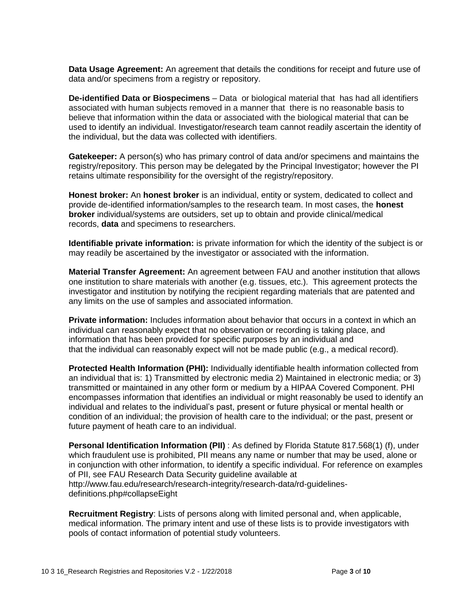**Data Usage Agreement:** An agreement that details the conditions for receipt and future use of data and/or specimens from a registry or repository.

**De-identified Data or Biospecimens** – Data or biological material that has had all identifiers associated with human subjects removed in a manner that there is no reasonable basis to believe that information within the data or associated with the biological material that can be used to identify an individual. Investigator/research team cannot readily ascertain the identity of the individual, but the data was collected with identifiers.

**Gatekeeper:** A person(s) who has primary control of data and/or specimens and maintains the registry/repository. This person may be delegated by the Principal Investigator; however the PI retains ultimate responsibility for the oversight of the registry/repository.

**Honest broker:** An **honest broker** is an individual, entity or system, dedicated to collect and provide de-identified information/samples to the research team. In most cases, the **honest broker** individual/systems are outsiders, set up to obtain and provide clinical/medical records, **data** and specimens to researchers.

**Identifiable private information:** is private information for which the identity of the subject is or may readily be ascertained by the investigator or associated with the information.

**Material Transfer Agreement:** An agreement between FAU and another institution that allows one institution to share materials with another (e.g. tissues, etc.). This agreement protects the investigator and institution by notifying the recipient regarding materials that are patented and any limits on the use of samples and associated information.

**Private information:** Includes information about behavior that occurs in a context in which an individual can reasonably expect that no observation or recording is taking place, and information that has been provided for specific purposes by an individual and that the individual can reasonably expect will not be made public (e.g., a medical record).

**Protected Health Information (PHI):** Individually identifiable health information collected from an individual that is: 1) Transmitted by electronic media 2) Maintained in electronic media; or 3) transmitted or maintained in any other form or medium by a HIPAA Covered Component. PHI encompasses information that identifies an individual or might reasonably be used to identify an individual and relates to the individual's past, present or future physical or mental health or condition of an individual; the provision of health care to the individual; or the past, present or future payment of heath care to an individual.

**Personal Identification Information (PII[\)](http://www.fau.edu/research/research-integrity/research-data/rd-regulations-reference.php)** : As defined by Florida Statute 817.568(1) (f), under which fraudulent use is prohibited, PII means any name or number that may be used, alone or in conjunction with other information, to identify a specific individual. For reference on examples of PII, see FAU Research Data Security guideline available at http://www.fau.edu/research/research-integrity/research-data/rd-guidelinesdefinitions.php#collapseEight

**Recruitment Registry**: Lists of persons along with limited personal and, when applicable, medical information. The primary intent and use of these lists is to provide investigators with pools of contact information of potential study volunteers.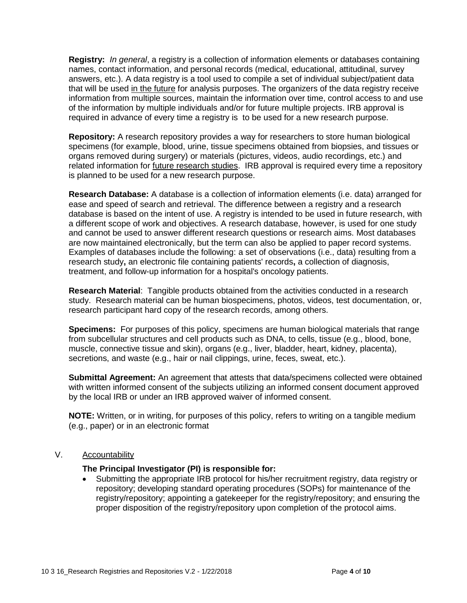**Registry:** *In general*, a registry is a collection of information elements or databases containing names, contact information, and personal records (medical, educational, attitudinal, survey answers, etc.). A data registry is a tool used to compile a set of individual subject/patient data that will be used in the future for analysis purposes. The organizers of the data registry receive information from multiple sources, maintain the information over time, control access to and use of the information by multiple individuals and/or for future multiple projects. IRB approval is required in advance of every time a registry is to be used for a new research purpose.

**Repository:** A research repository provides a way for researchers to store human biological specimens (for example, blood, urine, tissue specimens obtained from biopsies, and tissues or organs removed during surgery) or materials (pictures, videos, audio recordings, etc.) and related information for *future research studies*. IRB approval is required every time a repository is planned to be used for a new research purpose.

**Research Database:** A database is a collection of information elements (i.e. data) arranged for ease and speed of search and retrieval. The difference between a registry and a research database is based on the intent of use. A registry is intended to be used in future research, with a different scope of work and objectives. A research database, however, is used for one study and cannot be used to answer different research questions or research aims. Most databases are now maintained electronically, but the term can also be applied to paper record systems. Examples of databases include the following: a set of observations (i.e., data) resulting from a research study**,** an electronic file containing patients' records**,** a collection of diagnosis, treatment, and follow-up information for a hospital's oncology patients.

**Research Material**: Tangible products obtained from the activities conducted in a research study. Research material can be human biospecimens, photos, videos, test documentation, or, research participant hard copy of the research records, among others.

**Specimens:** For purposes of this policy, specimens are human biological materials that range from subcellular structures and cell products such as DNA, to cells, tissue (e.g., blood, bone, muscle, connective tissue and skin), organs (e.g., liver, bladder, heart, kidney, placenta), secretions, and waste (e.g., hair or nail clippings, urine, feces, sweat, etc.).

**Submittal Agreement:** An agreement that attests that data/specimens collected were obtained with written informed consent of the subjects utilizing an informed consent document approved by the local IRB or under an IRB approved waiver of informed consent.

**NOTE:** Written, or in writing, for purposes of this policy, refers to writing on a tangible medium (e.g., paper) or in an electronic format

#### V. Accountability

#### **The Principal Investigator (PI) is responsible for:**

 Submitting the appropriate IRB protocol for his/her recruitment registry, data registry or repository; developing standard operating procedures (SOPs) for maintenance of the registry/repository; appointing a gatekeeper for the registry/repository; and ensuring the proper disposition of the registry/repository upon completion of the protocol aims.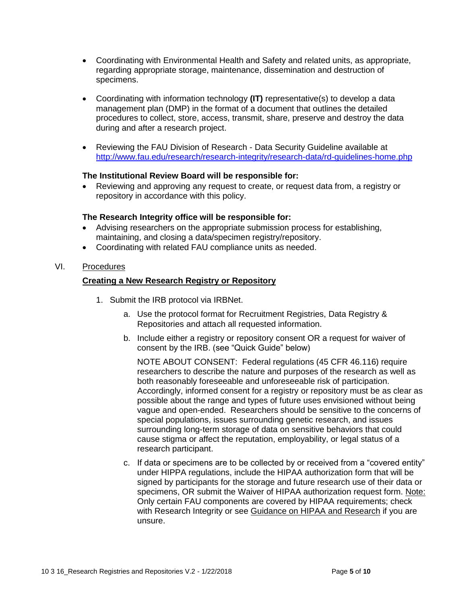- Coordinating with Environmental Health and Safety and related units, as appropriate, regarding appropriate storage, maintenance, dissemination and destruction of specimens.
- Coordinating with information technology **(IT)** representative(s) to develop a data management plan (DMP) in the format of a document that outlines the detailed procedures to collect, store, access, transmit, share, preserve and destroy the data during and after a research project.
- Reviewing the FAU Division of Research Data Security Guideline available at <http://www.fau.edu/research/research-integrity/research-data/rd-guidelines-home.php>

#### **The Institutional Review Board will be responsible for:**

 Reviewing and approving any request to create, or request data from, a registry or repository in accordance with this policy.

#### **The Research Integrity office will be responsible for:**

- Advising researchers on the appropriate submission process for establishing, maintaining, and closing a data/specimen registry/repository.
- Coordinating with related FAU compliance units as needed.

#### VI. Procedures

#### **Creating a New Research Registry or Repository**

- 1. Submit the IRB protocol via IRBNet.
	- a. Use the protocol format for Recruitment Registries, Data Registry & Repositories and attach all requested information.
	- b. Include either a registry or repository consent OR a request for waiver of consent by the IRB. (see "Quick Guide" below)

NOTE ABOUT CONSENT: Federal regulations (45 CFR 46.116) require researchers to describe the nature and purposes of the research as well as both reasonably foreseeable and unforeseeable risk of participation. Accordingly, informed consent for a registry or repository must be as clear as possible about the range and types of future uses envisioned without being vague and open-ended. Researchers should be sensitive to the concerns of special populations, issues surrounding genetic research, and issues surrounding long-term storage of data on sensitive behaviors that could cause stigma or affect the reputation, employability, or legal status of a research participant.

c. If data or specimens are to be collected by or received from a "covered entity" under HIPPA regulations, include the HIPAA authorization form that will be signed by participants for the storage and future research use of their data or specimens, OR submit the Waiver of HIPAA authorization request form. Note: Only certain FAU components are covered by HIPAA requirements; check with Research Integrity or see Guidance on HIPAA and Research if you are unsure.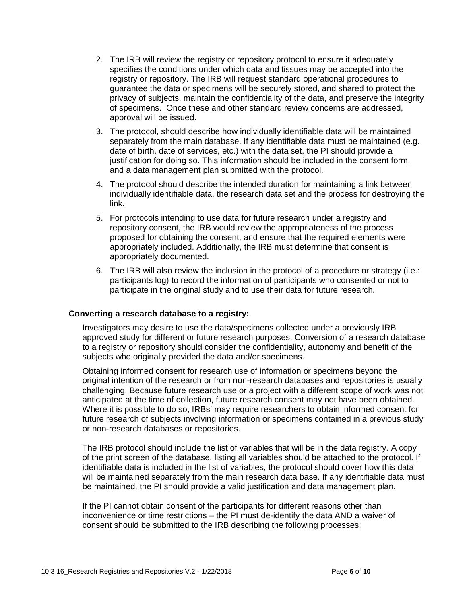- 2. The IRB will review the registry or repository protocol to ensure it adequately specifies the conditions under which data and tissues may be accepted into the registry or repository. The IRB will request standard operational procedures to guarantee the data or specimens will be securely stored, and shared to protect the privacy of subjects, maintain the confidentiality of the data, and preserve the integrity of specimens. Once these and other standard review concerns are addressed, approval will be issued.
- 3. The protocol, should describe how individually identifiable data will be maintained separately from the main database. If any identifiable data must be maintained (e.g. date of birth, date of services, etc.) with the data set, the PI should provide a justification for doing so. This information should be included in the consent form, and a data management plan submitted with the protocol.
- 4. The protocol should describe the intended duration for maintaining a link between individually identifiable data, the research data set and the process for destroying the link.
- 5. For protocols intending to use data for future research under a registry and repository consent, the IRB would review the appropriateness of the process proposed for obtaining the consent, and ensure that the required elements were appropriately included. Additionally, the IRB must determine that consent is appropriately documented.
- 6. The IRB will also review the inclusion in the protocol of a procedure or strategy (i.e.: participants log) to record the information of participants who consented or not to participate in the original study and to use their data for future research.

#### **Converting a research database to a registry:**

Investigators may desire to use the data/specimens collected under a previously IRB approved study for different or future research purposes. Conversion of a research database to a registry or repository should consider the confidentiality, autonomy and benefit of the subjects who originally provided the data and/or specimens.

Obtaining informed consent for research use of information or specimens beyond the original intention of the research or from non-research databases and repositories is usually challenging. Because future research use or a project with a different scope of work was not anticipated at the time of collection, future research consent may not have been obtained. Where it is possible to do so, IRBs' may require researchers to obtain informed consent for future research of subjects involving information or specimens contained in a previous study or non-research databases or repositories.

The IRB protocol should include the list of variables that will be in the data registry. A copy of the print screen of the database, listing all variables should be attached to the protocol. If identifiable data is included in the list of variables, the protocol should cover how this data will be maintained separately from the main research data base. If any identifiable data must be maintained, the PI should provide a valid justification and data management plan.

If the PI cannot obtain consent of the participants for different reasons other than inconvenience or time restrictions – the PI must de-identify the data AND a waiver of consent should be submitted to the IRB describing the following processes: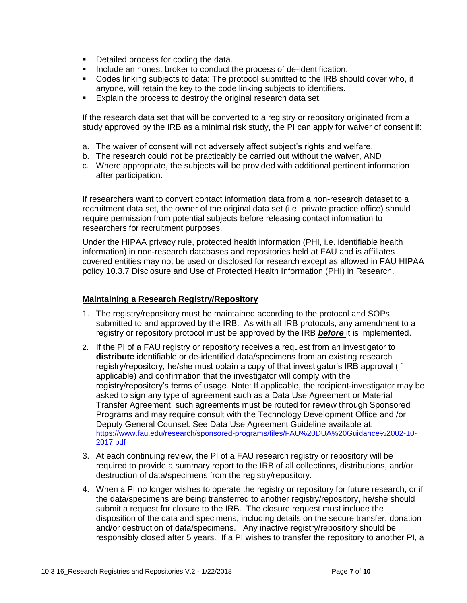- **Detailed process for coding the data.**
- **Include an honest broker to conduct the process of de-identification.**
- Codes linking subjects to data: The protocol submitted to the IRB should cover who, if anyone, will retain the key to the code linking subjects to identifiers.
- **Explain the process to destroy the original research data set.**

If the research data set that will be converted to a registry or repository originated from a study approved by the IRB as a minimal risk study, the PI can apply for waiver of consent if:

- a. The waiver of consent will not adversely affect subject's rights and welfare,
- b. The research could not be practicably be carried out without the waiver, AND
- c. Where appropriate, the subjects will be provided with additional pertinent information after participation.

If researchers want to convert contact information data from a non-research dataset to a recruitment data set, the owner of the original data set (i.e. private practice office) should require permission from potential subjects before releasing contact information to researchers for recruitment purposes.

Under the HIPAA privacy rule, protected health information (PHI, i.e. identifiable health information) in non-research databases and repositories held at FAU and is affiliates covered entities may not be used or disclosed for research except as allowed in FAU HIPAA policy [10.3.7 Disclosure and Use of Protected Health Information \(PHI\) in Research.](http://www.fau.edu/research/docs/policies/research-integrity/10.3.7_Disclosure_and_Use_of_PHI_in_Research.pdf)

#### **Maintaining a Research Registry/Repository**

- 1. The registry/repository must be maintained according to the protocol and SOPs submitted to and approved by the IRB. As with all IRB protocols, any amendment to a registry or repository protocol must be approved by the IRB *before* it is implemented.
- 2. If the PI of a FAU registry or repository receives a request from an investigator to **distribute** identifiable or de-identified data/specimens from an existing research registry/repository, he/she must obtain a copy of that investigator's IRB approval (if applicable) and confirmation that the investigator will comply with the registry/repository's terms of usage. Note: If applicable, the recipient-investigator may be asked to sign any type of agreement such as a Data Use Agreement or Material Transfer Agreement, such agreements must be routed for review through Sponsored Programs and may require consult with the Technology Development Office and /or Deputy General Counsel. See Data Use Agreement Guideline available at: [https://www.fau.edu/research/sponsored-programs/files/FAU%20DUA%20Guidance%2002-10-](https://www.fau.edu/research/sponsored-programs/files/FAU%20DUA%20Guidance%2002-10-2017.pdf) [2017.pdf](https://www.fau.edu/research/sponsored-programs/files/FAU%20DUA%20Guidance%2002-10-2017.pdf)
- 3. At each continuing review, the PI of a FAU research registry or repository will be required to provide a summary report to the IRB of all collections, distributions, and/or destruction of data/specimens from the registry/repository.
- 4. When a PI no longer wishes to operate the registry or repository for future research, or if the data/specimens are being transferred to another registry/repository, he/she should submit a request for closure to the IRB. The closure request must include the disposition of the data and specimens, including details on the secure transfer, donation and/or destruction of data/specimens. Any inactive registry/repository should be responsibly closed after 5 years. If a PI wishes to transfer the repository to another PI, a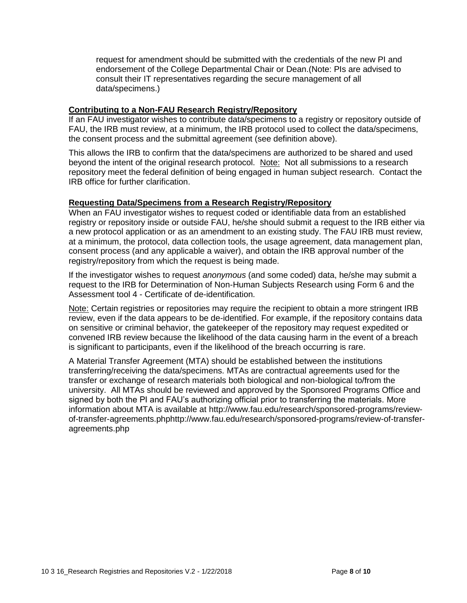request for amendment should be submitted with the credentials of the new PI and endorsement of the College Departmental Chair or Dean.(Note: PIs are advised to consult their IT representatives regarding the secure management of all data/specimens.)

#### **Contributing to a Non-FAU Research Registry/Repository**

If an FAU investigator wishes to contribute data/specimens to a registry or repository outside of FAU, the IRB must review, at a minimum, the IRB protocol used to collect the data/specimens, the consent process and the submittal agreement (see definition above).

This allows the IRB to confirm that the data/specimens are authorized to be shared and used beyond the intent of the original research protocol. Note: Not all submissions to a research repository meet the federal definition of being engaged in human subject research. Contact the IRB office for further clarification.

#### **Requesting Data/Specimens from a Research Registry/Repository**

When an FAU investigator wishes to request coded or identifiable data from an established registry or repository inside or outside FAU, he/she should submit a request to the IRB either via a new protocol application or as an amendment to an existing study. The FAU IRB must review, at a minimum, the protocol, data collection tools, the usage agreement, data management plan, consent process (and any applicable a waiver), and obtain the IRB approval number of the registry/repository from which the request is being made.

If the investigator wishes to request *anonymous* (and some coded) data, he/she may submit a request to the IRB for Determination of Non-Human Subjects Research using Form 6 and the Assessment tool 4 - Certificate of de-identification.

Note: Certain registries or repositories may require the recipient to obtain a more stringent IRB review, even if the data appears to be de-identified. For example, if the repository contains data on sensitive or criminal behavior, the gatekeeper of the repository may request expedited or convened IRB review because the likelihood of the data causing harm in the event of a breach is significant to participants, even if the likelihood of the breach occurring is rare.

A Material Transfer Agreement (MTA) should be established between the institutions transferring/receiving the data/specimens. MTAs are contractual agreements used for the transfer or exchange of research materials both biological and non-biological to/from the university. All MTAs should be reviewed and approved by the Sponsored Programs Office and signed by both the PI and FAU's authorizing official prior to transferring the materials. More information about MTA is available at http://www.fau.edu/research/sponsored-programs/reviewof-transfer-agreements.phphttp://www.fau.edu/research/sponsored-programs/review-of-transferagreements.php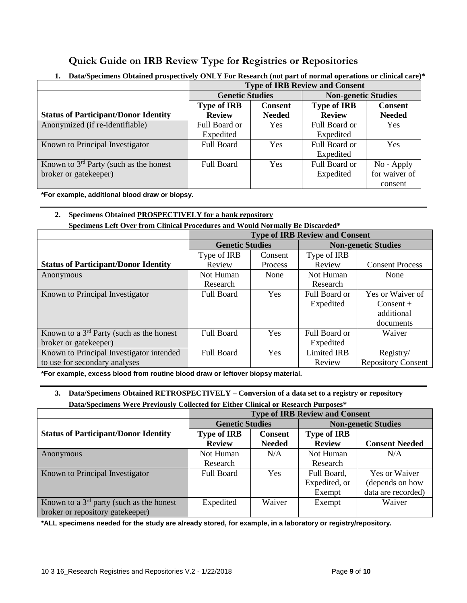## **Quick Guide on IRB Review Type for Registries or Repositories**

|                                             | <b>Type of IRB Review and Consent</b> |                |                            |                |
|---------------------------------------------|---------------------------------------|----------------|----------------------------|----------------|
|                                             | <b>Genetic Studies</b>                |                | <b>Non-genetic Studies</b> |                |
|                                             | <b>Type of IRB</b>                    | <b>Consent</b> | <b>Type of IRB</b>         | <b>Consent</b> |
| <b>Status of Participant/Donor Identity</b> | <b>Review</b>                         | <b>Needed</b>  | <b>Review</b>              | <b>Needed</b>  |
| Anonymized (if re-identifiable)             | Full Board or                         | <b>Yes</b>     | Full Board or              | Yes            |
|                                             | Expedited                             |                | Expedited                  |                |
| Known to Principal Investigator             | Full Board                            | <b>Yes</b>     | Full Board or              | Yes            |
|                                             |                                       |                | Expedited                  |                |
| Known to $3rd$ Party (such as the honest    | Full Board                            | <b>Yes</b>     | Full Board or              | $No$ - Apply   |
| broker or gatekeeper)                       |                                       |                | Expedited                  | for waiver of  |
|                                             |                                       |                |                            | consent        |

### **1. Data/Specimens Obtained prospectively ONLY For Research (not part of normal operations or clinical care)\***

**\*For example, additional blood draw or biopsy.**

#### **2. Specimens Obtained PROSPECTIVELY for a bank repository**

**Specimens Left Over from Clinical Procedures and Would Normally Be Discarded\***

|                                             | <b>Type of IRB Review and Consent</b> |                |                            |                           |
|---------------------------------------------|---------------------------------------|----------------|----------------------------|---------------------------|
|                                             | <b>Genetic Studies</b>                |                | <b>Non-genetic Studies</b> |                           |
|                                             | Type of IRB                           | Consent        | Type of IRB                |                           |
| <b>Status of Participant/Donor Identity</b> | Review                                | <b>Process</b> | Review                     | <b>Consent Process</b>    |
| Anonymous                                   | Not Human                             | None           | Not Human                  | None                      |
|                                             | Research                              |                | Research                   |                           |
| Known to Principal Investigator             | <b>Full Board</b>                     | Yes            | Full Board or              | Yes or Waiver of          |
|                                             |                                       |                | Expedited                  | $Consent +$               |
|                                             |                                       |                |                            | additional                |
|                                             |                                       |                |                            | documents                 |
| Known to a $3rd$ Party (such as the honest  | <b>Full Board</b>                     | Yes            | Full Board or              | Waiver                    |
| broker or gatekeeper)                       |                                       |                | Expedited                  |                           |
| Known to Principal Investigator intended    | <b>Full Board</b>                     | <b>Yes</b>     | <b>Limited IRB</b>         | Registry/                 |
| to use for secondary analyses               |                                       |                | Review                     | <b>Repository Consent</b> |

**\*For example, excess blood from routine blood draw or leftover biopsy material.**

#### **3. Data/Specimens Obtained RETROSPECTIVELY – Conversion of a data set to a registry or repository Data/Specimens Were Previously Collected for Either Clinical or Research Purposes\***

|                                             | <b>Type of IRB Review and Consent</b> |                |                            |                       |
|---------------------------------------------|---------------------------------------|----------------|----------------------------|-----------------------|
|                                             | <b>Genetic Studies</b>                |                | <b>Non-genetic Studies</b> |                       |
| <b>Status of Participant/Donor Identity</b> | <b>Type of IRB</b>                    | <b>Consent</b> | <b>Type of IRB</b>         |                       |
|                                             | <b>Review</b>                         | <b>Needed</b>  | <b>Review</b>              | <b>Consent Needed</b> |
| Anonymous                                   | Not Human                             | N/A            | Not Human                  | N/A                   |
|                                             | Research                              |                | Research                   |                       |
| Known to Principal Investigator             | <b>Full Board</b>                     | <b>Yes</b>     | Full Board,                | <b>Yes or Waiver</b>  |
|                                             |                                       |                | Expedited, or              | (depends on how       |
|                                             |                                       |                | Exempt                     | data are recorded)    |
| Known to a $3rd$ party (such as the honest  | Expedited                             | Waiver         | Exempt                     | Waiver                |
| broker or repository gatekeeper)            |                                       |                |                            |                       |

**\*ALL specimens needed for the study are already stored, for example, in a laboratory or registry/repository.**